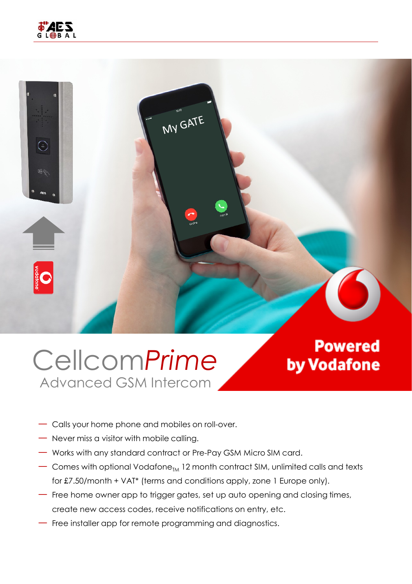

### Cellcom*Prime* Advanced GSM Intercom

**Powered** by Vodafone

- ― Calls your home phone and mobiles on roll-over.
- ― Never miss a visitor with mobile calling.
- ― Works with any standard contract or Pre-Pay GSM Micro SIM card.
- $-$  Comes with optional Vodafone $_{TM}$  12 month contract SIM, unlimited calls and texts for £7.50/month + VAT\* (terms and conditions apply, zone 1 Europe only).
- ― Free home owner app to trigger gates, set up auto opening and closing times, create new access codes, receive notifications on entry, etc.
- ― Free installer app for remote programming and diagnostics.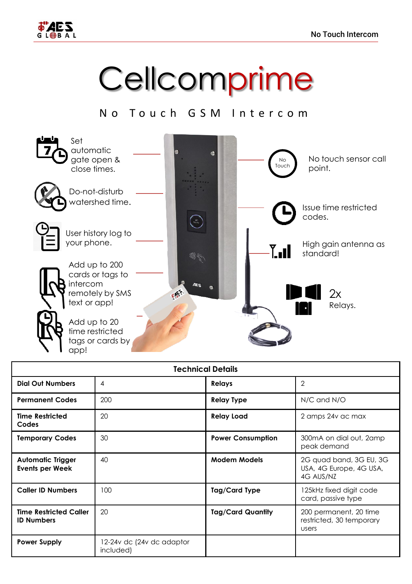

# **Cellcomprime**

### No Touch GSM Intercom



| <b>Technical Details</b>                           |                                        |                          |                                                                 |
|----------------------------------------------------|----------------------------------------|--------------------------|-----------------------------------------------------------------|
| <b>Dial Out Numbers</b>                            | $\overline{4}$                         | <b>Relays</b>            | $\mathfrak{D}$                                                  |
| <b>Permanent Codes</b>                             | 200                                    | <b>Relay Type</b>        | N/C and N/O                                                     |
| <b>Time Restricted</b><br>Codes                    | 20                                     | <b>Relay Load</b>        | 2 amps 24v ac max                                               |
| <b>Temporary Codes</b>                             | 30                                     | <b>Power Consumption</b> | 300mA on dial out, 2amp<br>peak demand                          |
| <b>Automatic Trigger</b><br>Events per Week        | 40                                     | <b>Modem Models</b>      | 2G quad band, 3G EU, 3G<br>USA, 4G Europe, 4G USA,<br>4G AUS/NZ |
| <b>Caller ID Numbers</b>                           | 100                                    | Tag/Card Type            | 125kHz fixed digit code<br>card, passive type                   |
| <b>Time Restricted Caller</b><br><b>ID Numbers</b> | 20                                     | <b>Tag/Card Quantity</b> | 200 permanent, 20 time<br>restricted, 30 temporary<br>users     |
| <b>Power Supply</b>                                | 12-24v dc (24v dc adaptor<br>included) |                          |                                                                 |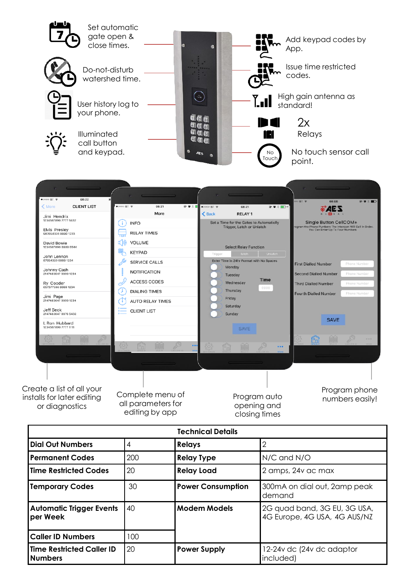

| <b>lTime Restricted Codes</b>                       | 20  | <b>Relay Load</b>        | 2 amps, 24y ac max                                           |
|-----------------------------------------------------|-----|--------------------------|--------------------------------------------------------------|
| <b>Temporary Codes</b>                              | 30  | <b>Power Consumption</b> | 300mA on dial out, 2amp peak<br>demand                       |
| Automatic Trigger Events<br> per Week               | 40  | <b>Modem Models</b>      | 2G quad band, 3G EU, 3G USA,<br>4G Europe, 4G USA, 4G AUS/NZ |
| l Caller ID Numbers                                 | 100 |                          |                                                              |
| <b>lTime Restricted Caller ID</b><br><b>Numbers</b> | 20  | <b>Power Supply</b>      | 12-24v dc (24v dc adaptor<br>included)                       |